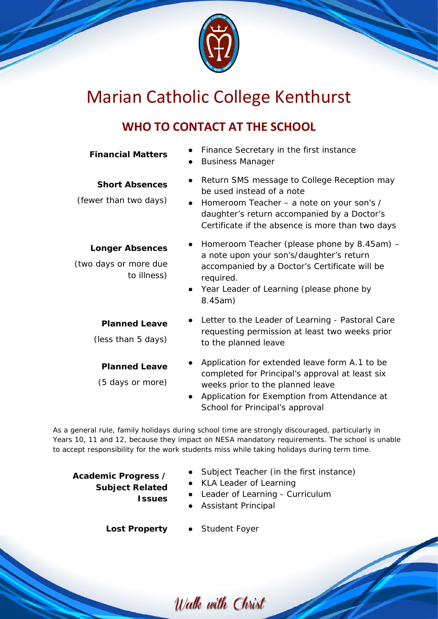

## Marian Catholic College Kenthurst

## **WHO TO CONTACT AT THE SCHOOL**

| <b>Financial Matters</b>                                       | Finance Secretary in the first instance<br>$\bullet$<br><b>Business Manager</b>                                                                                                                                           |
|----------------------------------------------------------------|---------------------------------------------------------------------------------------------------------------------------------------------------------------------------------------------------------------------------|
| <b>Short Absences</b><br>(fewer than two days)                 | Return SMS message to College Reception may<br>be used instead of a note<br>Homeroom Teacher - a note on your son's /<br>daughter's return accompanied by a Doctor's<br>Certificate if the absence is more than two days  |
| <b>Longer Absences</b><br>(two days or more due<br>to illness) | Homeroom Teacher (please phone by 8.45am) -<br>a note upon your son's/daughter's return<br>accompanied by a Doctor's Certificate will be<br>required.<br>Year Leader of Learning (please phone by<br>$\bullet$<br>8.45am) |
| <b>Planned Leave</b><br>(less than 5 days)                     | Letter to the Leader of Learning - Pastoral Care<br>requesting permission at least two weeks prior<br>to the planned leave                                                                                                |
| <b>Planned Leave</b><br>(5 days or more)                       | Application for extended leave form A.1 to be<br>completed for Principal's approval at least six<br>weeks prior to the planned leave<br>Application for Exemption from Attendance at                                      |

*As a general rule, family holidays during school time are strongly discouraged, particularly in Years 10, 11 and 12, because they impact on NESA mandatory requirements. The school is unable to accept responsibility for the work students miss while taking holidays during term time.*

**Academic Progress / Subject Related Issues**

- Subject Teacher (in the first instance)
- **KLA Leader of Learning**
- Leader of Learning Curriculum

School for Principal's approval

**Assistant Principal** 

**Lost Property** ● Student Foyer

Walk with Christ